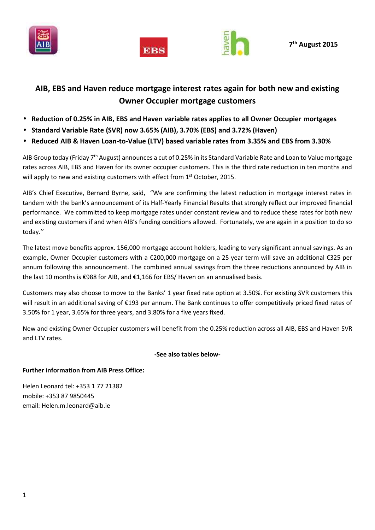





# **AIB, EBS and Haven reduce mortgage interest rates again for both new and existing Owner Occupier mortgage customers**

- **Reduction of 0.25% in AIB, EBS and Haven variable rates applies to all Owner Occupier mortgages**
- **Standard Variable Rate (SVR) now 3.65% (AIB), 3.70% (EBS) and 3.72% (Haven)**
- **Reduced AIB & Haven Loan-to-Value (LTV) based variable rates from 3.35% and EBS from 3.30%**

AIB Group today (Friday 7<sup>th</sup> August) announces a cut of 0.25% in its Standard Variable Rate and Loan to Value mortgage rates across AIB, EBS and Haven for its owner occupier customers. This is the third rate reduction in ten months and will apply to new and existing customers with effect from 1<sup>st</sup> October, 2015.

AIB's Chief Executive, Bernard Byrne, said, "We are confirming the latest reduction in mortgage interest rates in tandem with the bank's announcement of its Half-Yearly Financial Results that strongly reflect our improved financial performance. We committed to keep mortgage rates under constant review and to reduce these rates for both new and existing customers if and when AIB's funding conditions allowed. Fortunately, we are again in a position to do so today.''

The latest move benefits approx. 156,000 mortgage account holders, leading to very significant annual savings. As an example, Owner Occupier customers with a €200,000 mortgage on a 25 year term will save an additional €325 per annum following this announcement. The combined annual savings from the three reductions announced by AIB in the last 10 months is €988 for AIB, and €1,166 for EBS/ Haven on an annualised basis.

Customers may also choose to move to the Banks' 1 year fixed rate option at 3.50%. For existing SVR customers this will result in an additional saving of €193 per annum. The Bank continues to offer competitively priced fixed rates of 3.50% for 1 year, 3.65% for three years, and 3.80% for a five years fixed.

New and existing Owner Occupier customers will benefit from the 0.25% reduction across all AIB, EBS and Haven SVR and LTV rates.

## **-See also tables below-**

## **Further information from AIB Press Office:**

Helen Leonard tel: +353 1 77 21382 mobile: +353 87 9850445 email: Helen.m.leonard@aib.ie